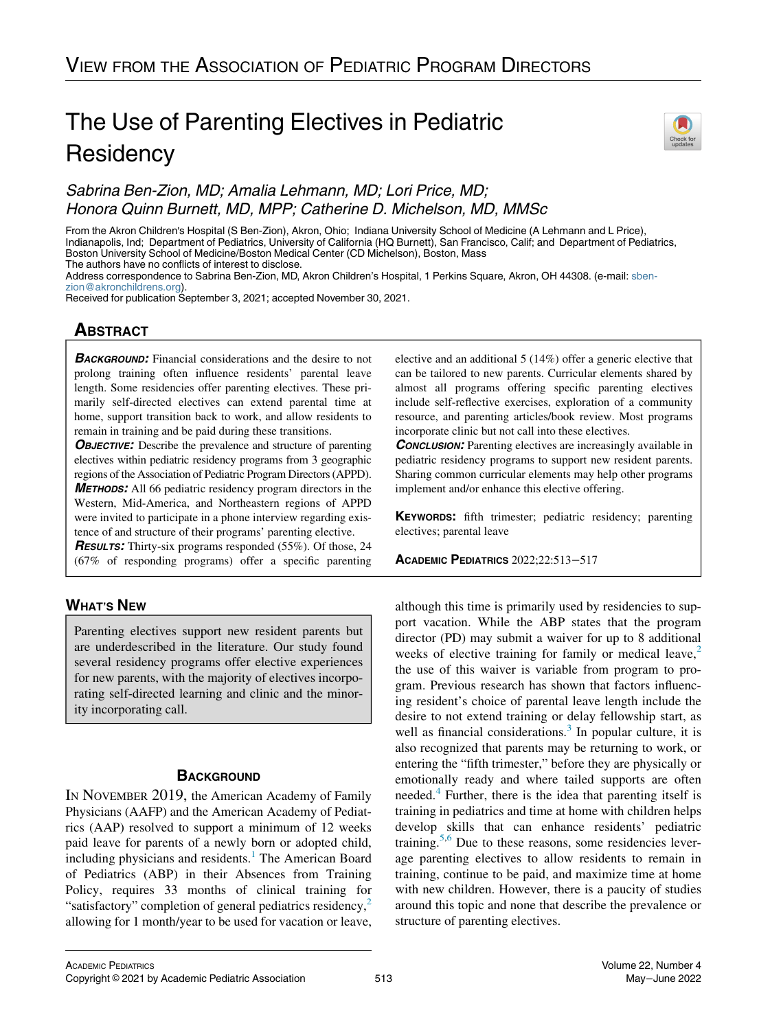# The Use of Parenting Electives in Pediatric **Residency**



# Sabrina Ben-Zion, MD; Amalia Lehmann, MD; Lori Price, MD; Honora Quinn Burnett, MD, MPP; Catherine D. Michelson, MD, MMSc

From the Akron Children's Hospital (S Ben-Zion), Akron, Ohio; Indiana University School of Medicine (A Lehmann and L Price), Indianapolis, Ind; Department of Pediatrics, University of California (HQ Burnett), San Francisco, Calif; and Department of Pediatrics, Boston University School of Medicine/Boston Medical Center (CD Michelson), Boston, Mass The authors have no conflicts of interest to disclose.

Address correspondence to Sabrina Ben-Zion, MD, Akron Children's Hospital, 1 Perkins Square, Akron, OH 44308. (e-mail: [sben](mailto:sben-zion@akronchildrens.org)[zion@akronchildrens.org](mailto:sben-zion@akronchildrens.org)).

Received for publication September 3, 2021; accepted November 30, 2021.

# <u>ABSOLUTE</u>

**BACKGROUND:** Financial considerations and the desire to not prolong training often influence residents' parental leave length. Some residencies offer parenting electives. These primarily self-directed electives can extend parental time at home, support transition back to work, and allow residents to remain in training and be paid during these transitions.

**OBJECTIVE:** Describe the prevalence and structure of parenting electives within pediatric residency programs from 3 geographic regions of the Association of Pediatric Program Directors (APPD). METHODS: All 66 pediatric residency program directors in the Western, Mid-America, and Northeastern regions of APPD were invited to participate in a phone interview regarding existence of and structure of their programs' parenting elective.

**RESULTS:** Thirty-six programs responded (55%). Of those, 24 (67% of responding programs) offer a specific parenting

# **WHAT'S NEW** WHAT'S NEW YORK

Parenting electives support new resident parents but are underdescribed in the literature. Our study found several residency programs offer elective experiences for new parents, with the majority of electives incorporating self-directed learning and clinic and the minority incorporating call.

# **BACKGROUND**

IN NOVEMBER 2019, the American Academy of Family Physicians (AAFP) and the American Academy of Pediatrics (AAP) resolved to support a minimum of 12 weeks paid leave for parents of a newly born or adopted child, including physicians and residents. $<sup>1</sup>$  $<sup>1</sup>$  $<sup>1</sup>$  The American Board</sup> of Pediatrics (ABP) in their Absences from Training Policy, requires 33 months of clinical training for "satisfactory" completion of general pediatrics residency,<sup>[2](#page-4-0)</sup> allowing for 1 month/year to be used for vacation or leave, elective and an additional 5 (14%) offer a generic elective that can be tailored to new parents. Curricular elements shared by almost all programs offering specific parenting electives include self-reflective exercises, exploration of a community resource, and parenting articles/book review. Most programs incorporate clinic but not call into these electives.

**CONCLUSION:** Parenting electives are increasingly available in pediatric residency programs to support new resident parents. Sharing common curricular elements may help other programs implement and/or enhance this elective offering.

KEYWORDS: fifth trimester; pediatric residency; parenting electives; parental leave

ACADEMIC PEDIATRICS 2022;22:513−<sup>517</sup>

although this time is primarily used by residencies to support vacation. While the ABP states that the program director (PD) may submit a waiver for up to 8 additional weeks of elective training for family or medical leave, $2$ the use of this waiver is variable from program to program. Previous research has shown that factors influencing resident's choice of parental leave length include the desire to not extend training or delay fellowship start, as well as financial considerations. $3$  In popular culture, it is also recognized that parents may be returning to work, or entering the "fifth trimester," before they are physically or emotionally ready and where tailed supports are often needed.<sup>[4](#page-4-2)</sup> Further, there is the idea that parenting itself is training in pediatrics and time at home with children helps develop skills that can enhance residents' pediatric training.<sup>[5,](#page-4-3)[6](#page-4-4)</sup> Due to these reasons, some residencies leverage parenting electives to allow residents to remain in training, continue to be paid, and maximize time at home with new children. However, there is a paucity of studies around this topic and none that describe the prevalence or structure of parenting electives.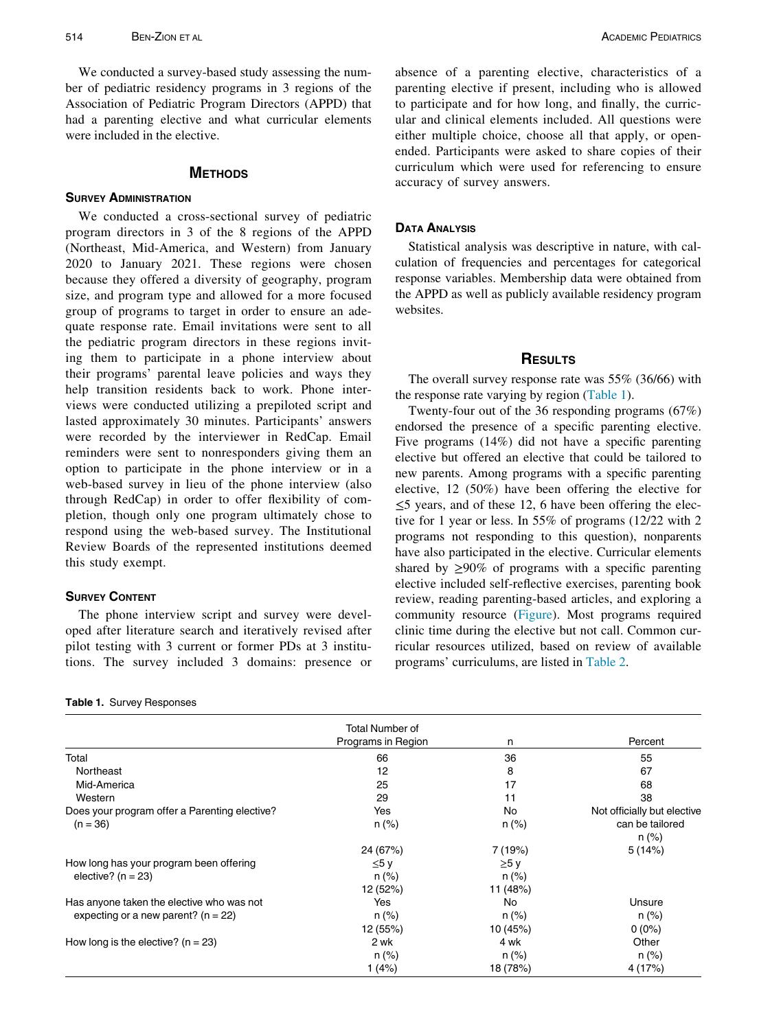We conducted a survey-based study assessing the number of pediatric residency programs in 3 regions of the Association of Pediatric Program Directors (APPD) that had a parenting elective and what curricular elements were included in the elective.

## **METHODS** METHODS

We conducted a cross-sectional survey of pediatric program directors in 3 of the 8 regions of the APPD (Northeast, Mid-America, and Western) from January 2020 to January 2021. These regions were chosen because they offered a diversity of geography, program size, and program type and allowed for a more focused group of programs to target in order to ensure an adequate response rate. Email invitations were sent to all the pediatric program directors in these regions inviting them to participate in a phone interview about their programs' parental leave policies and ways they help transition residents back to work. Phone interviews were conducted utilizing a prepiloted script and lasted approximately 30 minutes. Participants' answers were recorded by the interviewer in RedCap. Email reminders were sent to nonresponders giving them an option to participate in the phone interview or in a web-based survey in lieu of the phone interview (also through RedCap) in order to offer flexibility of completion, though only one program ultimately chose to respond using the web-based survey. The Institutional Review Boards of the represented institutions deemed this study exempt.

### **SURVEY CONTENT**

The phone interview script and survey were developed after literature search and iteratively revised after pilot testing with 3 current or former PDs at 3 institutions. The survey included 3 domains: presence or

| Table 1. Survey Responses |
|---------------------------|
|                           |

absence of a parenting elective, characteristics of a parenting elective if present, including who is allowed to participate and for how long, and finally, the curricular and clinical elements included. All questions were either multiple choice, choose all that apply, or openended. Participants were asked to share copies of their curriculum which were used for referencing to ensure accuracy of survey answers.

DATA ANALYSIS Statistical analysis was descriptive in nature, with calculation of frequencies and percentages for categorical response variables. Membership data were obtained from the APPD as well as publicly available residency program websites.

## **RESULTS**

The overall survey response rate was  $55\%$  (36/66) with the response rate varying by region [\(Table 1](#page-1-0)).

Twenty-four out of the 36 responding programs (67%) endorsed the presence of a specific parenting elective. Five programs (14%) did not have a specific parenting elective but offered an elective that could be tailored to new parents. Among programs with a specific parenting elective, 12 (50%) have been offering the elective for ≤5 years, and of these 12, 6 have been offering the elective for 1 year or less. In 55% of programs (12/22 with 2 programs not responding to this question), nonparents have also participated in the elective. Curricular elements shared by  $\geq 90\%$  of programs with a specific parenting elective included self-reflective exercises, parenting book review, reading parenting-based articles, and exploring a community resource ([Figure\)](#page-2-0). Most programs required clinic time during the elective but not call. Common curricular resources utilized, based on review of available programs' curriculums, are listed in [Table 2](#page-3-1).

<span id="page-1-0"></span>

|                                               | Total Number of    |            |                             |
|-----------------------------------------------|--------------------|------------|-----------------------------|
|                                               | Programs in Region | n          | Percent                     |
| Total                                         | 66                 | 36         | 55                          |
| Northeast                                     | 12                 | 8          | 67                          |
| Mid-America                                   | 25                 | 17         | 68                          |
| Western                                       | 29                 | 11         | 38                          |
| Does your program offer a Parenting elective? | Yes                | No         | Not officially but elective |
| $(n = 36)$                                    | $n (\%)$           | n (%)      | can be tailored<br>$n (\%)$ |
|                                               | 24 (67%)           | 7 (19%)    | 5(14%)                      |
| How long has your program been offering       | $\leq 5y$          | $\geq 5$ y |                             |
| elective? ( $n = 23$ )                        | n (%)              | n (%)      |                             |
|                                               | 12 (52%)           | 11 (48%)   |                             |
| Has anyone taken the elective who was not     | Yes                | No         | Unsure                      |
| expecting or a new parent? ( $n = 22$ )       | $n (\%)$           | $n (\%)$   | n (%)                       |
|                                               | 12 (55%)           | 10 (45%)   | $0(0\%)$                    |
| How long is the elective? ( $n = 23$ )        | 2 wk               | 4 wk       | Other                       |
|                                               | $n (\%)$           | n (%)      | $n (\%)$                    |
|                                               | 1(4%)              | 18 (78%)   | 4 (17%)                     |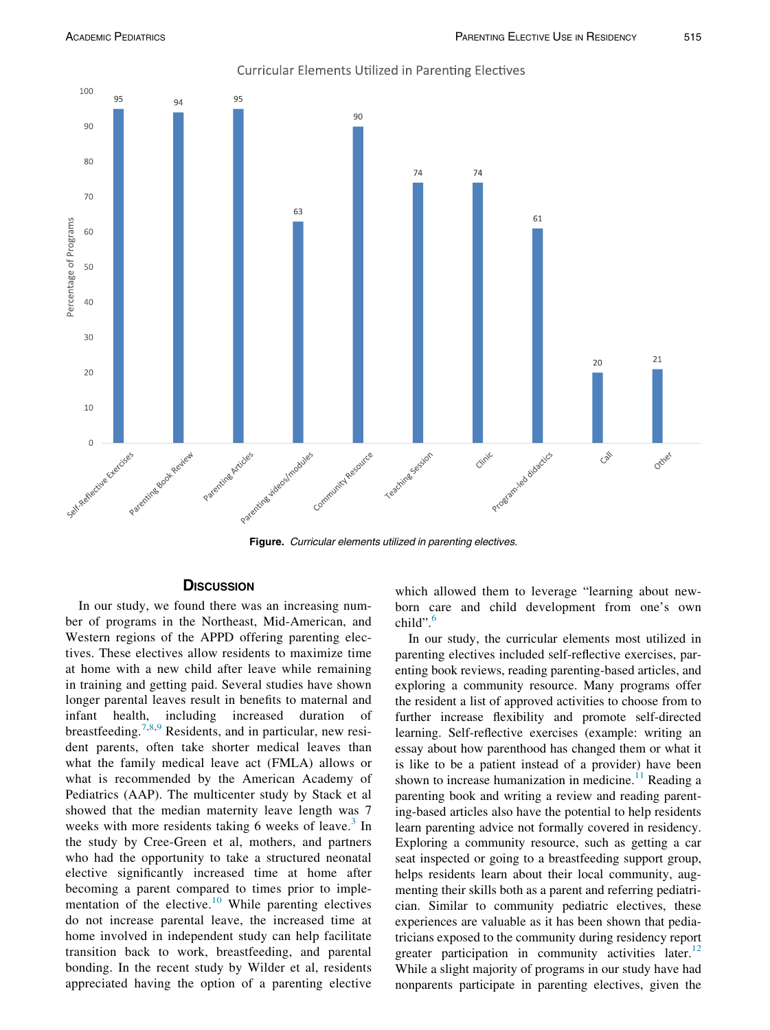<span id="page-2-0"></span>

**Curricular Elements Utilized in Parenting Electives** 

Figure. Curricular elements utilized in parenting electives.

In our study, we found there was an increasing number of programs in the Northeast, Mid-American, and Western regions of the APPD offering parenting electives. These electives allow residents to maximize time at home with a new child after leave while remaining in training and getting paid. Several studies have shown longer parental leaves result in benefits to maternal and infant health, including increased duration of breastfeeding.[7](#page-4-5)[,8](#page-4-6)[,9](#page-4-7) Residents, and in particular, new resident parents, often take shorter medical leaves than what the family medical leave act (FMLA) allows or what is recommended by the American Academy of Pediatrics (AAP). The multicenter study by Stack et al showed that the median maternity leave length was 7 weeks with more residents taking 6 weeks of leave.<sup>[3](#page-4-1)</sup> In the study by Cree-Green et al, mothers, and partners who had the opportunity to take a structured neonatal elective significantly increased time at home after becoming a parent compared to times prior to imple-mentation of the elective.<sup>[10](#page-4-8)</sup> While parenting electives do not increase parental leave, the increased time at home involved in independent study can help facilitate transition back to work, breastfeeding, and parental bonding. In the recent study by Wilder et al, residents appreciated having the option of a parenting elective

which allowed them to leverage "learning about newborn care and child development from one's own child".<sup>[6](#page-4-4)</sup>

In our study, the curricular elements most utilized in parenting electives included self-reflective exercises, parenting book reviews, reading parenting-based articles, and exploring a community resource. Many programs offer the resident a list of approved activities to choose from to further increase flexibility and promote self-directed learning. Self-reflective exercises (example: writing an essay about how parenthood has changed them or what it is like to be a patient instead of a provider) have been shown to increase humanization in medicine.<sup>[11](#page-4-9)</sup> Reading a parenting book and writing a review and reading parenting-based articles also have the potential to help residents learn parenting advice not formally covered in residency. Exploring a community resource, such as getting a car seat inspected or going to a breastfeeding support group, helps residents learn about their local community, augmenting their skills both as a parent and referring pediatrician. Similar to community pediatric electives, these experiences are valuable as it has been shown that pediatricians exposed to the community during residency report greater participation in community activities later.<sup>[12](#page-4-10)</sup> While a slight majority of programs in our study have had nonparents participate in parenting electives, given the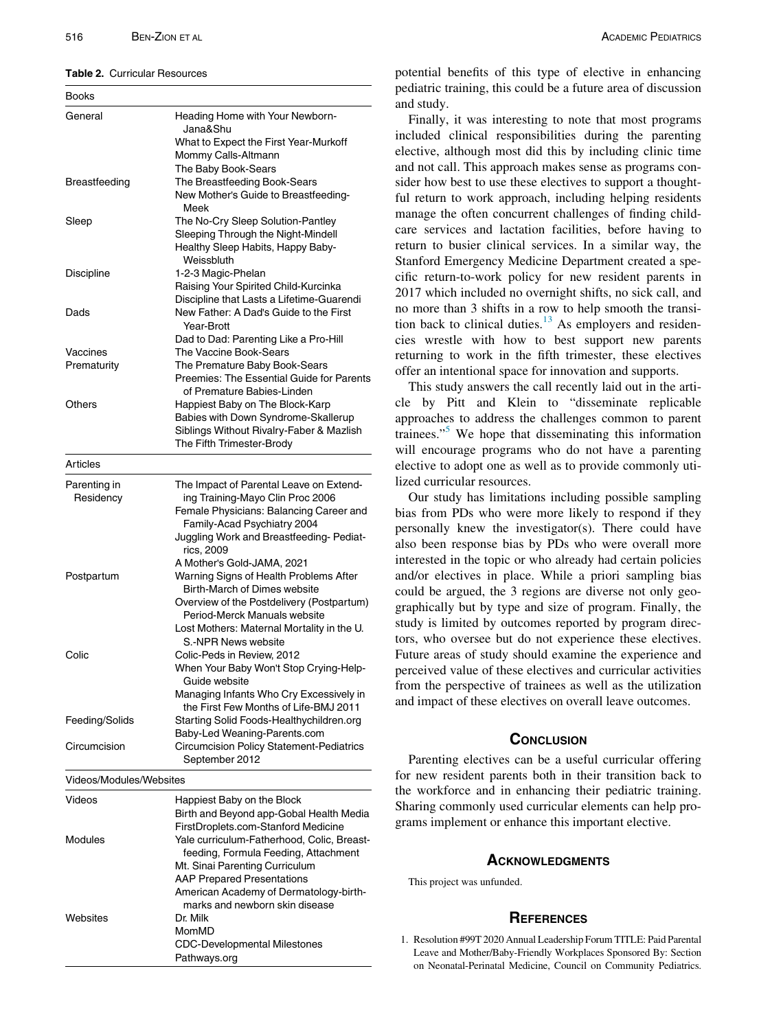### <span id="page-3-1"></span>Table 2. Curricular Resources

| <b>Books</b>            |                                                                                                              |  |
|-------------------------|--------------------------------------------------------------------------------------------------------------|--|
| General                 | Heading Home with Your Newborn-<br>Jana&Shu<br>What to Expect the First Year-Murkoff                         |  |
|                         | Mommy Calls-Altmann                                                                                          |  |
|                         | The Baby Book-Sears                                                                                          |  |
| Breastfeeding           | The Breastfeeding Book-Sears<br>New Mother's Guide to Breastfeeding-                                         |  |
|                         | Meek                                                                                                         |  |
| Sleep                   | The No-Cry Sleep Solution-Pantley<br>Sleeping Through the Night-Mindell<br>Healthy Sleep Habits, Happy Baby- |  |
|                         | Weissbluth                                                                                                   |  |
| Discipline              | 1-2-3 Magic-Phelan                                                                                           |  |
|                         | Raising Your Spirited Child-Kurcinka<br>Discipline that Lasts a Lifetime-Guarendi                            |  |
| Dads                    | New Father: A Dad's Guide to the First<br>Year-Brott                                                         |  |
|                         | Dad to Dad: Parenting Like a Pro-Hill                                                                        |  |
| Vaccines                | The Vaccine Book-Sears                                                                                       |  |
| Prematurity             | The Premature Baby Book-Sears<br>Preemies: The Essential Guide for Parents                                   |  |
|                         | of Premature Babies-Linden                                                                                   |  |
| Others                  | Happiest Baby on The Block-Karp<br>Babies with Down Syndrome-Skallerup                                       |  |
|                         | Siblings Without Rivalry-Faber & Mazlish                                                                     |  |
|                         | The Fifth Trimester-Brody                                                                                    |  |
| Articles                |                                                                                                              |  |
| Parenting in            | The Impact of Parental Leave on Extend-                                                                      |  |
| Residency               | ing Training-Mayo Clin Proc 2006                                                                             |  |
|                         | Female Physicians: Balancing Career and<br>Family-Acad Psychiatry 2004                                       |  |
|                         | Juggling Work and Breastfeeding- Pediat-<br>rics, 2009                                                       |  |
|                         | A Mother's Gold-JAMA, 2021                                                                                   |  |
| Postpartum              | Warning Signs of Health Problems After<br>Birth-March of Dimes website                                       |  |
|                         | Overview of the Postdelivery (Postpartum)<br>Period-Merck Manuals website                                    |  |
|                         | Lost Mothers: Maternal Mortality in the U.                                                                   |  |
|                         | S.-NPR News website                                                                                          |  |
| Colic                   | Colic-Peds in Review, 2012<br>When Your Baby Won't Stop Crying-Help-                                         |  |
|                         | Guide website                                                                                                |  |
|                         | Managing Infants Who Cry Excessively in                                                                      |  |
|                         | the First Few Months of Life-BMJ 2011                                                                        |  |
| Feeding/Solids          | Starting Solid Foods-Healthychildren.org<br>Baby-Led Weaning-Parents.com                                     |  |
| Circumcision            | <b>Circumcision Policy Statement-Pediatrics</b>                                                              |  |
|                         | September 2012                                                                                               |  |
| Videos/Modules/Websites |                                                                                                              |  |
| Videos                  | Happiest Baby on the Block                                                                                   |  |
|                         | Birth and Beyond app-Gobal Health Media                                                                      |  |
| Modules                 | FirstDroplets.com-Stanford Medicine<br>Yale curriculum-Fatherhood, Colic, Breast-                            |  |
|                         | feeding, Formula Feeding, Attachment                                                                         |  |
|                         | Mt. Sinai Parenting Curriculum                                                                               |  |
|                         | <b>AAP Prepared Presentations</b>                                                                            |  |
|                         | American Academy of Dermatology-birth-<br>marks and newborn skin disease                                     |  |
| Websites                | Dr. Milk                                                                                                     |  |
|                         | MomMD                                                                                                        |  |
|                         | <b>CDC-Developmental Milestones</b>                                                                          |  |
|                         | Pathways.org                                                                                                 |  |

potential benefits of this type of elective in enhancing pediatric training, this could be a future area of discussion and study.

Finally, it was interesting to note that most programs included clinical responsibilities during the parenting elective, although most did this by including clinic time and not call. This approach makes sense as programs consider how best to use these electives to support a thoughtful return to work approach, including helping residents manage the often concurrent challenges of finding childcare services and lactation facilities, before having to return to busier clinical services. In a similar way, the Stanford Emergency Medicine Department created a specific return-to-work policy for new resident parents in 2017 which included no overnight shifts, no sick call, and no more than 3 shifts in a row to help smooth the transition back to clinical duties. $13$  As employers and residencies wrestle with how to best support new parents returning to work in the fifth trimester, these electives offer an intentional space for innovation and supports.

This study answers the call recently laid out in the article by Pitt and Klein to "disseminate replicable approaches to address the challenges common to parent trainees."<sup>[5](#page-4-3)</sup> We hope that disseminating this information will encourage programs who do not have a parenting elective to adopt one as well as to provide commonly utilized curricular resources.

Our study has limitations including possible sampling bias from PDs who were more likely to respond if they personally knew the investigator(s). There could have also been response bias by PDs who were overall more interested in the topic or who already had certain policies and/or electives in place. While a priori sampling bias could be argued, the 3 regions are diverse not only geographically but by type and size of program. Finally, the study is limited by outcomes reported by program directors, who oversee but do not experience these electives. Future areas of study should examine the experience and perceived value of these electives and curricular activities from the perspective of trainees as well as the utilization and impact of these electives on overall leave outcomes.

Parenting electives can be a useful curricular offering for new resident parents both in their transition back to the workforce and in enhancing their pediatric training. Sharing commonly used curricular elements can help programs implement or enhance this important elective.

### **ACKNOWLEDGMENTS** Action of the state of the state of the state of the state of the state of the state of the state of the state of the state of the state of the state of the state of the state of the state of the state of the state of the

This project was unfunded.

<span id="page-3-0"></span>REFERENCES 1. Resolution #99T 2020 Annual Leadership Forum TITLE: Paid Parental Leave and Mother/Baby-Friendly Workplaces Sponsored By: Section on Neonatal-Perinatal Medicine, Council on Community Pediatrics.